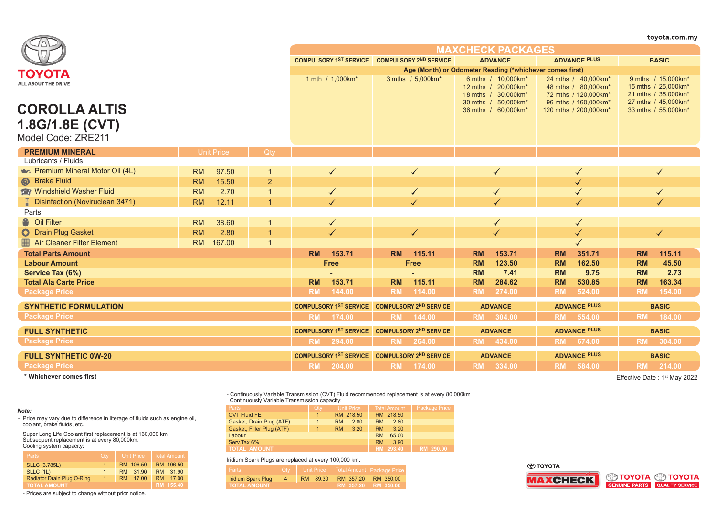|                                         |                     |                                               |                               |                               |                                                                  |                                                                    | toyota.com.my                                                    |
|-----------------------------------------|---------------------|-----------------------------------------------|-------------------------------|-------------------------------|------------------------------------------------------------------|--------------------------------------------------------------------|------------------------------------------------------------------|
|                                         |                     |                                               |                               |                               | <b>MAXCHECK PACKAGES</b>                                         |                                                                    |                                                                  |
|                                         |                     | COMPULSORY 1ST SERVICE COMPULSORY 2ND SERVICE | <b>ADVANCE</b>                | <b>ADVANCE PLUS</b>           | <b>BASIC</b>                                                     |                                                                    |                                                                  |
| ΤΟΥΟΤΑ                                  |                     |                                               |                               |                               | Age (Month) or Odometer Reading (*whichever comes first)         |                                                                    |                                                                  |
| ALL ABOUT THE DRIVE                     |                     |                                               | 1 mth / 1,000km*              | 3 mths / 5,000km*             | 6 mths / 10,000km*<br>12 mths / 20,000km*<br>18 mths / 30,000km* | 24 mths / 40,000km*<br>48 mths / 80,000km*<br>72 mths / 120,000km* | 9 mths / 15,000km*<br>15 mths / 25,000km*<br>21 mths / 35,000km* |
| <b>COROLLA ALTIS</b><br>1.8G/1.8E (CVT) |                     |                                               |                               |                               | 30 mths / 50,000km*<br>36 mths / 60,000km*                       | 96 mths / 160,000km*<br>120 mths / 200,000km*                      | 27 mths / 45,000km*<br>33 mths / 55,000km*                       |
| Model Code: ZRE211                      |                     |                                               |                               |                               |                                                                  |                                                                    |                                                                  |
| <b>PREMIUM MINERAL</b>                  | <b>Unit Price</b>   | Qtv                                           |                               |                               |                                                                  |                                                                    |                                                                  |
| Lubricants / Fluids                     |                     |                                               |                               |                               |                                                                  |                                                                    |                                                                  |
| Premium Mineral Motor Oil (4L)          | <b>RM</b><br>97.50  | $\mathbf{1}$                                  | $\checkmark$                  | $\checkmark$                  | $\checkmark$                                                     | ✓                                                                  | $\checkmark$                                                     |
| <b>&amp;</b> Brake Fluid                | 15.50<br><b>RM</b>  | $\overline{2}$                                |                               |                               |                                                                  |                                                                    |                                                                  |
| Windshield Washer Fluid                 | 2.70<br><b>RM</b>   | $\mathbf{1}$                                  | $\blacklozenge$               | $\checkmark$                  | $\blacktriangledown$                                             |                                                                    |                                                                  |
| <b>Disinfection (Noviruclean 3471)</b>  | 12.11<br><b>RM</b>  | $\blacktriangleleft$                          |                               |                               |                                                                  |                                                                    |                                                                  |
| Parts                                   |                     |                                               |                               |                               |                                                                  |                                                                    |                                                                  |
| <sup>8</sup> Oil Filter                 | <b>RM</b><br>38.60  | $\mathbf 1$                                   | ✓                             |                               | $\checkmark$                                                     | ✓                                                                  |                                                                  |
| O Drain Plug Gasket                     | 2.80<br><b>RM</b>   | $\overline{1}$                                |                               | $\checkmark$                  | $\checkmark$                                                     |                                                                    | $\checkmark$                                                     |
| Air Cleaner Filter Element              | 167.00<br><b>RM</b> | $\overline{1}$                                |                               |                               |                                                                  |                                                                    |                                                                  |
| <b>Total Parts Amount</b>               |                     |                                               | <b>RM</b><br>153.71           | <b>RM</b><br>115.11           | <b>RM</b><br>153.71                                              | <b>RM</b><br>351.71                                                | <b>RM</b><br>115.11                                              |
| <b>Labour Amount</b>                    |                     |                                               | <b>Free</b>                   | <b>Free</b>                   | 123.50<br><b>RM</b>                                              | 162.50<br><b>RM</b>                                                | <b>RM</b><br>45.50                                               |
| Service Tax (6%)                        |                     |                                               |                               |                               | <b>RM</b><br>7.41                                                | 9.75<br><b>RM</b>                                                  | 2.73<br><b>RM</b>                                                |
| <b>Total Ala Carte Price</b>            |                     |                                               | 153.71<br><b>RM</b>           | 115.11<br><b>RM</b>           | <b>RM</b><br>284.62                                              | 530.85<br><b>RM</b>                                                | 163.34<br><b>RM</b>                                              |
| <b>Package Price</b>                    |                     |                                               | <b>RM</b><br>144.00           | 114.00<br><b>RM</b>           | <b>RM</b><br>274.00                                              | 524.00<br><b>RM</b>                                                | <b>RM</b><br>154.00                                              |
| <b>SYNTHETIC FORMULATION</b>            |                     |                                               | <b>COMPULSORY 1ST SERVICE</b> | <b>COMPULSORY 2ND SERVICE</b> | <b>ADVANCE</b>                                                   | <b>ADVANCE PLUS</b>                                                | <b>BASIC</b>                                                     |
| <b>Package Price</b>                    |                     |                                               | <b>RM</b><br>174.00           | <b>RM</b><br>144.00           | RM 304.00                                                        | <b>RM</b><br>554.00                                                | <b>RM</b><br>184.00                                              |
| <b>FULL SYNTHETIC</b>                   |                     |                                               | <b>COMPULSORY 1ST SERVICE</b> | <b>COMPULSORY 2ND SERVICE</b> | <b>ADVANCE</b>                                                   | <b>ADVANCE PLUS</b>                                                | <b>BASIC</b>                                                     |
| <b>Package Price</b>                    |                     |                                               | 294.00<br><b>RM</b>           | RM 264.00                     | RM 434.00                                                        | RM 674.00                                                          | RM 304.00                                                        |
| <b>FULL SYNTHETIC 0W-20</b>             |                     |                                               | <b>COMPULSORY 1ST SERVICE</b> | <b>COMPULSORY 2ND SERVICE</b> | <b>ADVANCE</b>                                                   | <b>ADVANCE PLUS</b>                                                | <b>BASIC</b>                                                     |
| <b>Package Price</b>                    |                     |                                               | <b>RM</b><br>204.00           | RM 174.00                     | RM 334.00                                                        | RM 584.00                                                          | RM 214.00                                                        |

**\* Whichever comes first**

Effective Date: 1<sup>st</sup> May 2022

- Continuously Variable Transmission (CVT) Fluid recommended replacement is at every 80,000km Continuously Variable Transmission capacity:

| Parts                     | <b>Qtv</b>           | Unit Price        | <b>Total Amount</b> | Package Price |
|---------------------------|----------------------|-------------------|---------------------|---------------|
| <b>CVT Fluid FE</b>       | $\blacktriangleleft$ | RM 218.50         | RM 218.50           |               |
| Gasket, Drain Plug (ATF)  |                      | 2.80<br><b>RM</b> | 2.80<br><b>RM</b>   |               |
| Gasket, Filler Plug (ATF) |                      | 3.20<br><b>RM</b> | <b>RM</b><br>3.20   |               |
| Labour                    | <b>RM</b><br>65.00   |                   |                     |               |
| Serv.Tax 6%               | 3.90<br><b>RM</b>    |                   |                     |               |
| <b>TOTAL AMOUNT</b>       | RM 293.40            | RM 290.00         |                     |               |

Iridium Spark Plugs are replaced at every 100,000 km.

| Parts               | <b>Qtv</b> | Unit Price I |                     | Total Amount Package Price |  |  |  |  |  |  |
|---------------------|------------|--------------|---------------------|----------------------------|--|--|--|--|--|--|
| Iridium Spark Plug  | 4          | 89.30<br>RM. | RM 357.20           | RM 350.00                  |  |  |  |  |  |  |
| <b>TOTAL AMOUNT</b> |            |              | RM 357.20 RM 350.00 |                            |  |  |  |  |  |  |

⊕тоүотд  $\overline{\overline{\mathbf{M}}}$ 





- Prices are subject to change without prior notice.

RM 31.90

RM 106.50 RM 31.90

*Note:* - Price may vary due to difference in literage of fluids such as engine oil, coolant, brake fluids, etc.

Super Long Life Coolant first replacement is at 160,000 km. Subsequent replacement is at every 80,000km. Cooling system capacity:

Radiator Drain Plug O-Ring 1 RM 17.00 RM 17.00<br>TOTAL AMOUNT RM 155.40

1

| Cooling system capacity: |                   |
|--------------------------|-------------------|
| <b>Parts</b>             | <b>Unit Price</b> |
| <b>SLLC (3.785L)</b>     | RM 106.50         |

SLLC (1L)

**RMALL AMOUNT** 

| ΤΟΥΟΤΑ  |                        |  |
|---------|------------------------|--|
| AXCHECK | <b>SO TOYOTA SO TO</b> |  |
|         | GENUINE PARTS QUALITY  |  |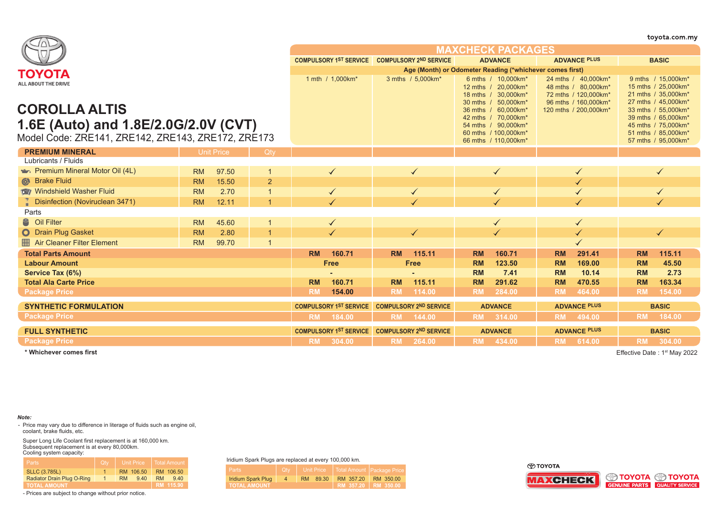|                                                    |                    |                |           |                                                          |           |                               |           |                                                                                         |           |                                                                                            |           | toyota.com.m                                                                            |
|----------------------------------------------------|--------------------|----------------|-----------|----------------------------------------------------------|-----------|-------------------------------|-----------|-----------------------------------------------------------------------------------------|-----------|--------------------------------------------------------------------------------------------|-----------|-----------------------------------------------------------------------------------------|
|                                                    |                    |                |           |                                                          |           |                               |           | <b>MAXCHECK PACKAGES</b>                                                                |           |                                                                                            |           |                                                                                         |
|                                                    |                    |                |           | COMPULSORY 1ST SERVICE COMPULSORY 2ND SERVICE            |           |                               |           | <b>ADVANCE</b>                                                                          |           | <b>ADVANCE PLUS</b>                                                                        |           | <b>BASIC</b>                                                                            |
| ΤΟΥΟΤΑ                                             |                    |                |           | Age (Month) or Odometer Reading (*whichever comes first) |           |                               |           |                                                                                         |           |                                                                                            |           |                                                                                         |
| ALL ABOUT THE DRIVE                                |                    |                |           | 1 mth / 1,000km*                                         |           | 3 mths / 5,000km*             |           | 6 mths / 10,000km*<br>12 mths / 20.000km*<br>18 mths / 30,000km*<br>30 mths / 50,000km* |           | 24 mths / 40,000km*<br>48 mths / 80,000km*<br>72 mths / 120,000km*<br>96 mths / 160,000km* |           | 9 mths / 15,000km*<br>15 mths / 25.000km*<br>21 mths / 35,000km*<br>27 mths / 45,000km* |
| <b>COROLLA ALTIS</b>                               |                    |                |           |                                                          |           |                               |           | 36 mths / 60.000km*                                                                     |           | 120 mths / 200,000km*                                                                      |           | 33 mths / 55,000km*                                                                     |
| 1.6E (Auto) and 1.8E/2.0G/2.0V (CVT)               |                    |                |           |                                                          |           |                               |           | 42 mths / 70.000km*<br>54 mths / 90,000km*                                              |           |                                                                                            |           | 39 mths / 65,000km*<br>45 mths / 75,000km*                                              |
|                                                    |                    |                |           |                                                          |           |                               |           | 60 mths / 100.000 km*                                                                   |           |                                                                                            |           | 51 mths / 85,000km*                                                                     |
| Model Code: ZRE141, ZRE142, ZRE143, ZRE172, ZRE173 |                    |                |           |                                                          |           |                               |           | 66 mths / 110,000km*                                                                    |           |                                                                                            |           | 57 mths / 95,000km*                                                                     |
| <b>PREMIUM MINERAL</b>                             | Unit Price         | Qty            |           |                                                          |           |                               |           |                                                                                         |           |                                                                                            |           |                                                                                         |
| Lubricants / Fluids                                |                    |                |           |                                                          |           |                               |           |                                                                                         |           |                                                                                            |           |                                                                                         |
| <b>Extra Premium Mineral Motor Oil (4L)</b>        | 97.50<br><b>RM</b> |                |           | $\checkmark$                                             |           |                               |           |                                                                                         |           |                                                                                            |           |                                                                                         |
| <b>&amp;</b> Brake Fluid                           | 15.50<br><b>RM</b> | $\overline{2}$ |           |                                                          |           |                               |           |                                                                                         |           |                                                                                            |           |                                                                                         |
| Windshield Washer Fluid                            | 2.70<br><b>RM</b>  |                |           |                                                          |           |                               |           |                                                                                         |           |                                                                                            |           |                                                                                         |
| Disinfection (Noviruclean 3471)                    | <b>RM</b><br>12.11 |                |           |                                                          |           |                               |           |                                                                                         |           |                                                                                            |           |                                                                                         |
| Parts                                              |                    |                |           |                                                          |           |                               |           |                                                                                         |           |                                                                                            |           |                                                                                         |
| <sup>8</sup> Oil Filter                            | 45.60<br><b>RM</b> |                |           |                                                          |           |                               |           |                                                                                         |           |                                                                                            |           |                                                                                         |
| <b>O</b> Drain Plug Gasket                         | 2.80<br><b>RM</b>  |                |           |                                                          |           |                               |           |                                                                                         |           |                                                                                            |           |                                                                                         |
| Air Cleaner Filter Element                         | 99.70<br><b>RM</b> |                |           |                                                          |           |                               |           |                                                                                         |           |                                                                                            |           |                                                                                         |
| <b>Total Parts Amount</b>                          |                    |                | <b>RM</b> | 160.71                                                   | <b>RM</b> | 115.11                        | <b>RM</b> | 160.71                                                                                  | <b>RM</b> | 291.41                                                                                     | <b>RM</b> | 115.11                                                                                  |
| <b>Labour Amount</b>                               |                    |                |           | <b>Free</b>                                              |           | <b>Free</b>                   | <b>RM</b> | 123.50                                                                                  | <b>RM</b> | 169.00                                                                                     | <b>RM</b> | 45.50                                                                                   |
| Service Tax (6%)                                   |                    |                |           |                                                          |           |                               | <b>RM</b> | 7.41                                                                                    | <b>RM</b> | 10.14                                                                                      | <b>RM</b> | 2.73                                                                                    |
| <b>Total Ala Carte Price</b>                       |                    |                | <b>RM</b> | 160.71                                                   | <b>RM</b> | 115.11                        | <b>RM</b> | 291.62                                                                                  | <b>RM</b> | 470.55                                                                                     | <b>RM</b> | 163.34                                                                                  |
| <b>Package Price</b>                               |                    |                | <b>RM</b> | 154.00                                                   | <b>RM</b> | 114.00                        | <b>RM</b> | 284.00                                                                                  | <b>RM</b> | 464.00                                                                                     | <b>RM</b> | 154.00                                                                                  |
| <b>SYNTHETIC FORMULATION</b>                       |                    |                |           | <b>COMPULSORY 1ST SERVICE</b>                            |           | <b>COMPULSORY 2ND SERVICE</b> |           | <b>ADVANCE</b>                                                                          |           | <b>ADVANCE PLUS</b>                                                                        |           | <b>BASIC</b>                                                                            |
| <b>Package Price</b>                               |                    |                | <b>RM</b> | 184.00                                                   | <b>RM</b> | 144.00                        | <b>RM</b> | 314.00                                                                                  | <b>RM</b> | 494.00                                                                                     | <b>RM</b> | 184.00                                                                                  |
| <b>FULL SYNTHETIC</b>                              |                    |                |           | <b>COMPULSORY 1ST SERVICE</b>                            |           | <b>COMPULSORY 2ND SERVICE</b> |           | <b>ADVANCE</b>                                                                          |           | <b>ADVANCE PLUS</b>                                                                        |           | <b>BASIC</b>                                                                            |
| <b>Package Price</b>                               |                    |                | <b>RM</b> | 304.00                                                   | <b>RM</b> | 264.00                        | <b>RM</b> | 434.00                                                                                  | <b>RM</b> | 614.00                                                                                     | <b>RM</b> | 304.00                                                                                  |

**\* Whichever comes first** Effective Date : 1st May 2022

*Note:*

- Price may vary due to difference in literage of fluids such as engine oil, coolant, brake fluids, etc.

Super Long Life Coolant first replacement is at 160,000 km. Subsequent replacement is at every 80,000km. Cooling system capacity:

| Parts                      | Qtv | <b>Unit Price</b> | Total Amount      |
|----------------------------|-----|-------------------|-------------------|
| <b>SLLC (3.785L)</b>       |     | RM 106.50         | RM 106.50         |
| Radiator Drain Plug O-Ring |     | <b>RM</b><br>9.40 | <b>RM</b><br>9,40 |
| <b>TOTAL AMOUNT</b>        |     |                   | RM 115.90         |

- Prices are subject to change without prior notice.

Iridium Spark Plugs are replaced at every 100,000 km.

| Parts                 | <b>Civers</b> |  | <b>Unit Price</b> |  |                     | Trotal Amount Package Price |           |  |  |  |  |
|-----------------------|---------------|--|-------------------|--|---------------------|-----------------------------|-----------|--|--|--|--|
| Iridium Spark Plug    | 4             |  | RM 89.30          |  | RM 357.20           |                             | RM 350.00 |  |  |  |  |
| <b>I TOTAL AMOUNT</b> |               |  |                   |  | RM 357.20 RM 350.00 |                             |           |  |  |  |  |





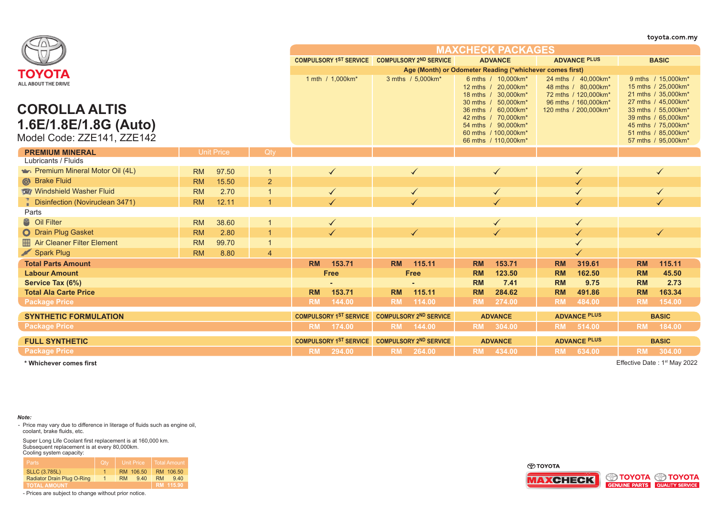|                                        |           |                   |                |           |                                                          |              |                                               |              |                                                                                         |           |                                                                                            |           | toyota.com.my                                                                           |
|----------------------------------------|-----------|-------------------|----------------|-----------|----------------------------------------------------------|--------------|-----------------------------------------------|--------------|-----------------------------------------------------------------------------------------|-----------|--------------------------------------------------------------------------------------------|-----------|-----------------------------------------------------------------------------------------|
|                                        |           |                   |                |           |                                                          |              |                                               |              | <b>MAXCHECK PACKAGES</b>                                                                |           |                                                                                            |           |                                                                                         |
|                                        |           |                   |                |           |                                                          |              | COMPULSORY 1ST SERVICE COMPULSORY 2ND SERVICE |              | <b>ADVANCE</b>                                                                          |           | <b>ADVANCE PLUS</b>                                                                        |           | <b>BASIC</b>                                                                            |
| ΤΟΥΟΤΑ                                 |           |                   |                |           | Age (Month) or Odometer Reading (*whichever comes first) |              |                                               |              |                                                                                         |           |                                                                                            |           |                                                                                         |
| ALL ABOUT THE DRIVE                    |           |                   |                |           | 1 mth / 1,000km*                                         |              | 3 mths / 5,000km*                             |              | 6 mths / 10,000km*<br>12 mths / 20.000km*<br>18 mths / 30.000km*<br>30 mths / 50,000km* |           | 24 mths / 40,000km*<br>48 mths / 80,000km*<br>72 mths / 120,000km*<br>96 mths / 160,000km* |           | 9 mths / 15,000km*<br>15 mths / 25,000km*<br>21 mths / 35,000km*<br>27 mths / 45,000km* |
| <b>COROLLA ALTIS</b>                   |           |                   |                |           |                                                          |              |                                               |              | 36 mths / 60,000km*                                                                     |           | 120 mths / 200,000km*                                                                      |           | 33 mths / 55,000km*                                                                     |
| 1.6E/1.8E/1.8G (Auto)                  |           |                   |                |           |                                                          |              |                                               |              | 42 mths / 70,000km*<br>54 mths / 90,000km*                                              |           |                                                                                            |           | 39 mths / 65,000km*<br>45 mths / 75,000km*                                              |
|                                        |           |                   |                |           |                                                          |              |                                               |              | 60 mths / 100,000km*                                                                    |           |                                                                                            |           | 51 mths / 85,000km*                                                                     |
| Model Code: ZZE141, ZZE142             |           |                   |                |           |                                                          |              |                                               |              | 66 mths / 110,000km*                                                                    |           |                                                                                            |           | 57 mths / 95,000km*                                                                     |
| <b>PREMIUM MINERAL</b>                 |           | <b>Unit Price</b> | Qtv            |           |                                                          |              |                                               |              |                                                                                         |           |                                                                                            |           |                                                                                         |
| Lubricants / Fluids                    |           |                   |                |           |                                                          |              |                                               |              |                                                                                         |           |                                                                                            |           |                                                                                         |
| Premium Mineral Motor Oil (4L)         | <b>RM</b> | 97.50             |                |           | $\checkmark$                                             | $\checkmark$ |                                               | $\checkmark$ |                                                                                         |           |                                                                                            |           | ✓                                                                                       |
| Strake Fluid                           | <b>RM</b> | 15.50             | $\overline{2}$ |           |                                                          |              |                                               |              |                                                                                         |           |                                                                                            |           |                                                                                         |
| Windshield Washer Fluid                | <b>RM</b> | 2.70              |                |           | $\blacktriangledown$                                     | $\checkmark$ |                                               | $\checkmark$ |                                                                                         |           |                                                                                            |           |                                                                                         |
| <b>Disinfection (Noviruclean 3471)</b> | <b>RM</b> | 12.11             |                |           |                                                          |              |                                               |              |                                                                                         |           |                                                                                            |           |                                                                                         |
| Parts                                  |           |                   |                |           |                                                          |              |                                               |              |                                                                                         |           |                                                                                            |           |                                                                                         |
| <sup>8</sup> Oil Filter                | <b>RM</b> | 38.60             |                |           | $\checkmark$                                             |              |                                               |              |                                                                                         |           |                                                                                            |           |                                                                                         |
| O Drain Plug Gasket                    | <b>RM</b> | 2.80              |                |           | $\checkmark$                                             |              | $\blacktriangledown$                          |              |                                                                                         |           | $\checkmark$                                                                               |           | $\checkmark$                                                                            |
| Air Cleaner Filter Element             | <b>RM</b> | 99.70             |                |           |                                                          |              |                                               |              |                                                                                         |           |                                                                                            |           |                                                                                         |
| Spark Plug                             | <b>RM</b> | 8.80              | $\overline{4}$ |           |                                                          |              |                                               |              |                                                                                         |           |                                                                                            |           |                                                                                         |
| <b>Total Parts Amount</b>              |           |                   |                | <b>RM</b> | 153.71                                                   | <b>RM</b>    | 115.11                                        | <b>RM</b>    | 153.71                                                                                  | <b>RM</b> | 319.61                                                                                     | <b>RM</b> | 115.11                                                                                  |
| <b>Labour Amount</b>                   |           |                   |                |           | <b>Free</b>                                              |              | <b>Free</b>                                   | <b>RM</b>    | 123.50                                                                                  | <b>RM</b> | 162.50                                                                                     | <b>RM</b> | 45.50                                                                                   |
| Service Tax (6%)                       |           |                   |                |           |                                                          |              |                                               | <b>RM</b>    | 7.41                                                                                    | <b>RM</b> | 9.75                                                                                       | <b>RM</b> | 2.73                                                                                    |
| <b>Total Ala Carte Price</b>           |           |                   |                | <b>RM</b> | 153.71                                                   | <b>RM</b>    | 115.11                                        | <b>RM</b>    | 284.62                                                                                  | <b>RM</b> | 491.86                                                                                     | <b>RM</b> | 163.34                                                                                  |
| <b>Package Price</b>                   |           |                   |                | <b>RM</b> | 144.00                                                   | <b>RM</b>    | 114.00                                        | <b>RM</b>    | 274.00                                                                                  | <b>RM</b> | 484.00                                                                                     | <b>RM</b> | 154.00                                                                                  |
| <b>SYNTHETIC FORMULATION</b>           |           |                   |                |           | <b>COMPULSORY 1ST SERVICE</b>                            |              | <b>COMPULSORY 2ND SERVICE</b>                 |              | <b>ADVANCE</b>                                                                          |           | <b>ADVANCE PLUS</b>                                                                        |           | <b>BASIC</b>                                                                            |
| <b>Package Price</b>                   |           |                   |                | <b>RM</b> | 174.00                                                   | <b>RM</b>    | 144.00                                        | <b>RM</b>    | 304.00                                                                                  | <b>RM</b> | 514.00                                                                                     | <b>RM</b> | 184.00                                                                                  |
| <b>FULL SYNTHETIC</b>                  |           |                   |                |           | <b>COMPULSORY 1ST SERVICE</b>                            |              | <b>COMPULSORY 2ND SERVICE</b>                 |              | <b>ADVANCE</b>                                                                          |           | <b>ADVANCE PLUS</b>                                                                        |           | <b>BASIC</b>                                                                            |
| <b>Package Price</b>                   |           |                   |                |           | RM 294.00                                                |              | RM 264.00                                     |              | RM 434.00                                                                               |           | RM 634.00                                                                                  |           | RM 304.00                                                                               |
|                                        |           |                   |                |           |                                                          |              |                                               |              |                                                                                         |           |                                                                                            |           |                                                                                         |

**\* Whichever comes first**

Effective Date: 1<sup>st</sup> May 2022

## *Note:*

- Price may vary due to difference in literage of fluids such as engine oil, coolant, brake fluids, etc.

Super Long Life Coolant first replacement is at 160,000 km. Subsequent replacement is at every 80,000km. Cooling system capacity:

| <b>Parts</b>               | Qtv | <b>Unit Price</b> | Total Amount     |
|----------------------------|-----|-------------------|------------------|
| <b>SLLC (3.785L)</b>       |     | RM 106.50         | RM 106.50        |
| Radiator Drain Plug O-Ring |     | 9.40<br><b>RM</b> | 940<br><b>RM</b> |
| <b>TOTAL AMOUNT</b>        |     |                   | RM 115.90        |

- Prices are subject to change without prior notice.